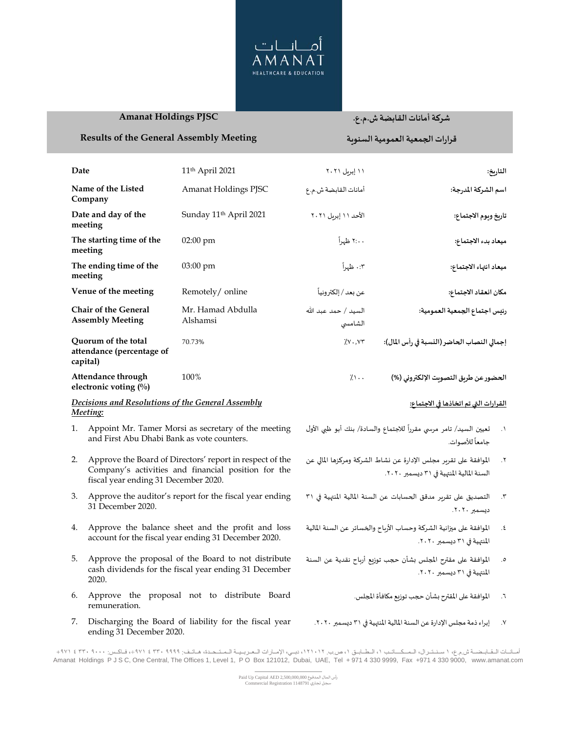

## **Amanat Holdings PJSC**

ending 31 December 2020.

## شركة أمانات القابضة ش.م.ع.

قرارات الجمعية العمومية السنوية

## **Results of the General Assembly Meeting**

| Date                                                                                                            |                                                                                                                                                         | 11 <sup>th</sup> April 2021                                                                              | ١١ إبريل ٢٠٢١                                                                                                                         | التاريخ:                                                                              |  |
|-----------------------------------------------------------------------------------------------------------------|---------------------------------------------------------------------------------------------------------------------------------------------------------|----------------------------------------------------------------------------------------------------------|---------------------------------------------------------------------------------------------------------------------------------------|---------------------------------------------------------------------------------------|--|
| Name of the Listed<br>Company                                                                                   |                                                                                                                                                         | Amanat Holdings PJSC                                                                                     | أمانات القابضة ش.م.ع                                                                                                                  | اسم الشركة المدرجة:                                                                   |  |
| Date and day of the<br>meeting                                                                                  |                                                                                                                                                         | Sunday 11 <sup>th</sup> April 2021                                                                       | الأحد ١١ إبريل ٢٠٢١                                                                                                                   | تاريخ ويوم الاجتماع:                                                                  |  |
| The starting time of the<br>meeting                                                                             |                                                                                                                                                         | $02:00 \text{ pm}$                                                                                       | ۲:۰۰ ظهراً                                                                                                                            | ميعاد بدء الاجتماع:                                                                   |  |
| The ending time of the<br>meeting                                                                               |                                                                                                                                                         | 03:00 pm                                                                                                 | ۰:۳ ظهراً                                                                                                                             | ميعاد انتهاء الاجتماع:                                                                |  |
| Venue of the meeting                                                                                            |                                                                                                                                                         | Remotely/ online                                                                                         | عن بعد / إلكترونياً                                                                                                                   | مكان انعقاد الاجتماع:                                                                 |  |
| <b>Chair of the General</b><br><b>Assembly Meeting</b>                                                          |                                                                                                                                                         | Mr. Hamad Abdulla<br>Alshamsi                                                                            | السيد / حمد عبد الله<br>الشامسى                                                                                                       | رئيس اجتماع الجمعية العمومية:                                                         |  |
| Quorum of the total<br>attendance (percentage of<br>capital)                                                    |                                                                                                                                                         | 70.73%                                                                                                   | $7.1$ $Y \cdot 7$                                                                                                                     | إجمالي النصاب الحاضر (النسبة في رأس المال):                                           |  |
| Attendance through<br>electronic voting (%)                                                                     |                                                                                                                                                         | 100%                                                                                                     | $7.1$                                                                                                                                 | الحضور عن طريق التصويت الإلكتروني (%)                                                 |  |
| Decisions and Resolutions of the General Assembly<br>Meeting:                                                   |                                                                                                                                                         |                                                                                                          |                                                                                                                                       | <u>القرارات التي تم اتخاذها في الاجتماع:</u>                                          |  |
| Appoint Mr. Tamer Morsi as secretary of the meeting<br>1.<br>and First Abu Dhabi Bank as vote counters.         |                                                                                                                                                         | تعيين السيد/ تامر مرسى مقرراً للاجتماع والسادة/ بنك أبو ظبي الأول<br>جامعاً للأصوات.                     |                                                                                                                                       |                                                                                       |  |
| 2.                                                                                                              | Approve the Board of Directors' report in respect of the<br>Company's activities and financial position for the<br>fiscal year ending 31 December 2020. |                                                                                                          | الموافقة على تقرير مجلس الإدارة عن نشاط الشركة ومركزها المالي عن<br>$\cdot$ $\mathsf{r}$<br>السنة المالية المنتهية في ٣١ ديسمبر ٢٠٢٠. |                                                                                       |  |
| 3.                                                                                                              | Approve the auditor's report for the fiscal year ending<br>31 December 2020.                                                                            |                                                                                                          |                                                                                                                                       | التصديق على تقرير مدقق الحسابات عن السنة المالية المنتهية في ٣١<br>۳.<br>ديسمبر ٢٠٢٠. |  |
| Approve the balance sheet and the profit and loss<br>4.<br>account for the fiscal year ending 31 December 2020. |                                                                                                                                                         | الموافقة على ميزانية الشركة وحساب الأرباح والخسائر عن السنة المالية<br>٤.<br>المنتهية في ٣١ ديسمبر ٢٠٢٠. |                                                                                                                                       |                                                                                       |  |
| 5.                                                                                                              | Approve the proposal of the Board to not distribute<br>cash dividends for the fiscal year ending 31 December<br>2020.                                   |                                                                                                          | الموافقة على مقترح المجلس بشأن حجب توزيع أرباح نقدية عن السنة<br>$\cdot$<br>المنتهية في ٣١ ديسمبر ٢٠٢٠.                               |                                                                                       |  |
| 6.                                                                                                              | Approve the proposal not to distribute Board<br>remuneration.                                                                                           |                                                                                                          |                                                                                                                                       | الموافقة على المقترح بشأن حجب توزيع مكافأة المجلس.<br>$\mathcal{L}$ .                 |  |
| 7.                                                                                                              | Discharging the Board of liability for the fiscal year                                                                                                  |                                                                                                          |                                                                                                                                       | إبراء ذمة مجلس الإدارة عن السنة المالية المنتهية في ٣١ ديسمبر ٢٠٢٠.<br>$\cdot$ Y      |  |

أسانيات التقابيضية ش.م.ع، ١ سنتترال، المسكساتيب ١، الطبابق ١، ص.ب ١٢١٠١٢، دبي، الإمبارات التعريبية المتحدة، هياتف: ١٣٩٩، ٢٣٠ ٤ ٣٣٠ ٤ ٣٣٠ + ٤ ١٧١ نوم ب<br>Amanat Holdings P J S C, One Central, The Offices 1, Level 1, P O Box